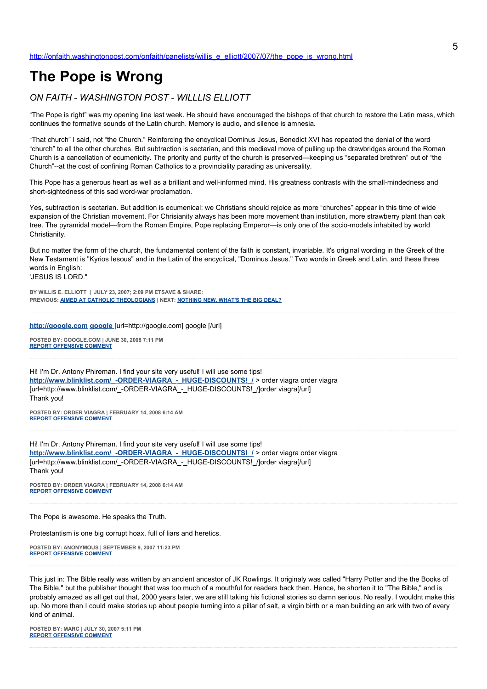# **The Pope is Wrong**

# *ON FAITH - WASHINGTON POST - WILLLIS ELLIOTT*

"The Pope is right" was my opening line last week. He should have encouraged the bishops of that church to restore the Latin mass, which continues the formative sounds of the Latin church. Memory is audio, and silence is amnesia.

"That church" I said, not "the Church." Reinforcing the encyclical Dominus Jesus, Benedict XVI has repeated the denial of the word "church" to all the other churches. But subtraction is sectarian, and this medieval move of pulling up the drawbridges around the Roman Church is a cancellation of ecumenicity. The priority and purity of the church is preserved—keeping us "separated brethren" out of "the Church"--at the cost of confining Roman Catholics to a provinciality parading as universality.

This Pope has a generous heart as well as a brilliant and well-informed mind. His greatness contrasts with the small-mindedness and short-sightedness of this sad word-war proclamation.

Yes, subtraction is sectarian. But addition is ecumenical: we Christians should rejoice as more "churches" appear in this time of wide expansion of the Christian movement. For Chrisianity always has been more movement than institution, more strawberry plant than oak tree. The pyramidal model—from the Roman Empire, Pope replacing Emperor—is only one of the socio-models inhabited by world Christianity.

But no matter the form of the church, the fundamental content of the faith is constant, invariable. It's original wording in the Greek of the New Testament is "Kyrios Iesous" and in the Latin of the encyclical, "Dominus Jesus." Two words in Greek and Latin, and these three words in English: 'JESUS IS LORD."

**BY WILLIS E. ELLIOTT | JULY 23, 2007; 2:09 PM ETSAVE & SHARE: PREVIOUS: [AIMED AT CATHOLIC THEOLOGIANS](http://onfaith.washingtonpost.com/onfaith/panelists/chester_gillis/2007/07/aimed_at_catholic_theologians.html) | NEXT: [NOTHING NEW, WHAT'S THE BIG DEAL?](http://onfaith.washingtonpost.com/onfaith/panelists/thomas_g_bohlin/2007/07/nothing_new_whats_the_big_deal.html)**

# **[http://google.com google](http://google.com/)** [url=http://google.com] google [/url]

**POSTED BY: GOOGLE.COM | JUNE 30, 2008 7:11 PM [REPORT OFFENSIVE COMMENT](mailto:blogs@washingtonpost.com?subject=On%20Faith%20Panelists%20Blog%20%20%7C%20%20google.com%20%20%7C%20%20The%20Pope%20is%20Wrong%20%20%7C%20%204031867&body=%0D%0D%0D%0D%0D================%0D?__mode=view%26_type=comment%26id=4031867%26blog_id=618)**

Hi! I'm Dr. Antony Phireman. I find your site very useful! I will use some tips! **[http://www.blinklist.com/\\_-ORDER-VIAGRA\\_-\\_HUGE-DISCOUNTS!\\_/](http://www.blinklist.com/_-ORDER-VIAGRA_-_HUGE-DISCOUNTS!_/)** > order viagra order viagra [url=http://www.blinklist.com/\_-ORDER-VIAGRA\_-\_HUGE-DISCOUNTS!\_/]order viagra[/url] Thank you!

**POSTED BY: ORDER VIAGRA | FEBRUARY 14, 2008 6:14 AM [REPORT OFFENSIVE COMMENT](mailto:blogs@washingtonpost.com?subject=On%20Faith%20Panelists%20Blog%20%20%7C%20%20order%20viagra%20%20%7C%20%20The%20Pope%20is%20Wrong%20%20%7C%20%202474961&body=%0D%0D%0D%0D%0D================%0D?__mode=view%26_type=comment%26id=2474961%26blog_id=618)**

Hi! I'm Dr. Antony Phireman. I find your site very useful! I will use some tips! http://www.blinklist.com/ -ORDER-VIAGRA - HUGE-DISCOUNTS! / > order viagra order viagra [url=http://www.blinklist.com/\_-ORDER-VIAGRA\_-\_HUGE-DISCOUNTS!\_/]order viagra[/url] Thank you!

**POSTED BY: ORDER VIAGRA | FEBRUARY 14, 2008 6:14 AM [REPORT OFFENSIVE COMMENT](mailto:blogs@washingtonpost.com?subject=On%20Faith%20Panelists%20Blog%20%20%7C%20%20order%20viagra%20%20%7C%20%20The%20Pope%20is%20Wrong%20%20%7C%20%202474960&body=%0D%0D%0D%0D%0D================%0D?__mode=view%26_type=comment%26id=2474960%26blog_id=618)**

The Pope is awesome. He speaks the Truth.

Protestantism is one big corrupt hoax, full of liars and heretics.

**POSTED BY: ANONYMOUS | SEPTEMBER 9, 2007 11:23 PM [REPORT OFFENSIVE COMMENT](mailto:blogs@washingtonpost.com?subject=On%20Faith%20Panelists%20Blog%20%20%7C%20%20Anonymous%20%20%7C%20%20The%20Pope%20is%20Wrong%20%20%7C%20%201347139&body=%0D%0D%0D%0D%0D================%0D?__mode=view%26_type=comment%26id=1347139%26blog_id=618)**

This just in: The Bible really was written by an ancient ancestor of JK Rowlings. It originaly was called "Harry Potter and the the Books of The Bible," but the publisher thought that was too much of a mouthful for readers back then. Hence, he shorten it to "The Bible," and is probably amazed as all get out that, 2000 years later, we are still taking his fictional stories so damn serious. No really. I wouldnt make this up. No more than I could make stories up about people turning into a pillar of salt, a virgin birth or a man building an ark with two of every kind of animal.

**POSTED BY: MARC | JULY 30, 2007 5:11 PM [REPORT OFFENSIVE COMMENT](mailto:blogs@washingtonpost.com?subject=On%20Faith%20Panelists%20Blog%20%20%7C%20%20Marc%20%20%7C%20%20The%20Pope%20is%20Wrong%20%20%7C%20%201206038&body=%0D%0D%0D%0D%0D================%0D?__mode=view%26_type=comment%26id=1206038%26blog_id=618)**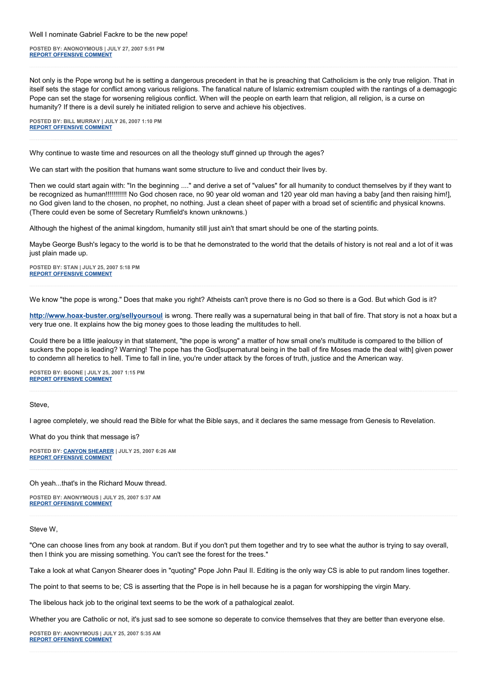#### Well I nominate Gabriel Fackre to be the new pope!

**POSTED BY: ANONOYMOUS | JULY 27, 2007 5:51 PM [REPORT OFFENSIVE COMMENT](mailto:blogs@washingtonpost.com?subject=On%20Faith%20Panelists%20Blog%20%20%7C%20%20anonoymous%20%20%7C%20%20The%20Pope%20is%20Wrong%20%20%7C%20%201199124&body=%0D%0D%0D%0D%0D================%0D?__mode=view%26_type=comment%26id=1199124%26blog_id=618)**

Not only is the Pope wrong but he is setting a dangerous precedent in that he is preaching that Catholicism is the only true religion. That in itself sets the stage for conflict among various religions. The fanatical nature of Islamic extremism coupled with the rantings of a demagogic Pope can set the stage for worsening religious conflict. When will the people on earth learn that religion, all religion, is a curse on humanity? If there is a devil surely he initiated religion to serve and achieve his objectives.

**POSTED BY: BILL MURRAY | JULY 26, 2007 1:10 PM [REPORT OFFENSIVE COMMENT](mailto:blogs@washingtonpost.com?subject=On%20Faith%20Panelists%20Blog%20%20%7C%20%20Bill%20Murray%20%20%7C%20%20The%20Pope%20is%20Wrong%20%20%7C%20%201195343&body=%0D%0D%0D%0D%0D================%0D?__mode=view%26_type=comment%26id=1195343%26blog_id=618)**

Why continue to waste time and resources on all the theology stuff ginned up through the ages?

We can start with the position that humans want some structure to live and conduct their lives by.

Then we could start again with: "In the beginning ...." and derive a set of "values" for all humanity to conduct themselves by if they want to be recognized as human!!!!!!!!!!! No God chosen race, no 90 year old woman and 120 year old man having a baby [and then raising him!], no God given land to the chosen, no prophet, no nothing. Just a clean sheet of paper with a broad set of scientific and physical knowns. (There could even be some of Secretary Rumfield's known unknowns.)

Although the highest of the animal kingdom, humanity still just ain't that smart should be one of the starting points.

Maybe George Bush's legacy to the world is to be that he demonstrated to the world that the details of history is not real and a lot of it was just plain made up.

**POSTED BY: STAN | JULY 25, 2007 5:18 PM [REPORT OFFENSIVE COMMENT](mailto:blogs@washingtonpost.com?subject=On%20Faith%20Panelists%20Blog%20%20%7C%20%20Stan%20%20%7C%20%20The%20Pope%20is%20Wrong%20%20%7C%20%201193474&body=%0D%0D%0D%0D%0D================%0D?__mode=view%26_type=comment%26id=1193474%26blog_id=618)**

We know "the pope is wrong." Does that make you right? Atheists can't prove there is no God so there is a God. But which God is it?

**<http://www.hoax-buster.org/sellyoursoul>** is wrong. There really was a supernatural being in that ball of fire. That story is not a hoax but a very true one. It explains how the big money goes to those leading the multitudes to hell.

Could there be a little jealousy in that statement, "the pope is wrong" a matter of how small one's multitude is compared to the billion of suckers the pope is leading? Warning! The pope has the God[supernatural being in the ball of fire Moses made the deal with] given power to condemn all heretics to hell. Time to fall in line, you're under attack by the forces of truth, justice and the American way.

**POSTED BY: BGONE | JULY 25, 2007 1:15 PM [REPORT OFFENSIVE COMMENT](mailto:blogs@washingtonpost.com?subject=On%20Faith%20Panelists%20Blog%20%20%7C%20%20BGone%20%20%7C%20%20The%20Pope%20is%20Wrong%20%20%7C%20%201192913&body=%0D%0D%0D%0D%0D================%0D?__mode=view%26_type=comment%26id=1192913%26blog_id=618)**

Steve,

I agree completely, we should read the Bible for what the Bible says, and it declares the same message from Genesis to Revelation.

What do you think that message is?

**POSTED BY: [CANYON SHEARER](http://trustobey.blogspot.com/) | JULY 25, 2007 6:26 AM [REPORT OFFENSIVE COMMENT](mailto:blogs@washingtonpost.com?subject=On%20Faith%20Panelists%20Blog%20%20%7C%20%20Canyon%20Shearer%20%20%7C%20%20The%20Pope%20is%20Wrong%20%20%7C%20%201192195&body=%0D%0D%0D%0D%0D================%0D?__mode=view%26_type=comment%26id=1192195%26blog_id=618)**

### Oh yeah...that's in the Richard Mouw thread.

**POSTED BY: ANONYMOUS | JULY 25, 2007 5:37 AM [REPORT OFFENSIVE COMMENT](mailto:blogs@washingtonpost.com?subject=On%20Faith%20Panelists%20Blog%20%20%7C%20%20Anonymous%20%20%7C%20%20The%20Pope%20is%20Wrong%20%20%7C%20%201192102&body=%0D%0D%0D%0D%0D================%0D?__mode=view%26_type=comment%26id=1192102%26blog_id=618)**

#### Steve W,

"One can choose lines from any book at random. But if you don't put them together and try to see what the author is trying to say overall, then I think you are missing something. You can't see the forest for the trees."

Take a look at what Canyon Shearer does in "quoting" Pope John Paul II. Editing is the only way CS is able to put random lines together.

The point to that seems to be; CS is asserting that the Pope is in hell because he is a pagan for worshipping the virgin Mary.

The libelous hack job to the original text seems to be the work of a pathalogical zealot.

Whether you are Catholic or not, it's just sad to see somone so deperate to convice themselves that they are better than everyone else.

**POSTED BY: ANONYMOUS | JULY 25, 2007 5:35 AM [REPORT OFFENSIVE COMMENT](mailto:blogs@washingtonpost.com?subject=On%20Faith%20Panelists%20Blog%20%20%7C%20%20Anonymous%20%20%7C%20%20The%20Pope%20is%20Wrong%20%20%7C%20%201192098&body=%0D%0D%0D%0D%0D================%0D?__mode=view%26_type=comment%26id=1192098%26blog_id=618)**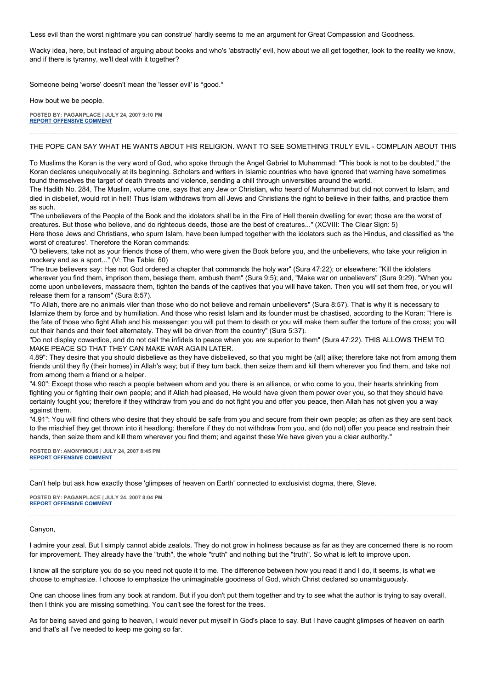'Less evil than the worst nightmare you can construe' hardly seems to me an argument for Great Compassion and Goodness.

Wacky idea, here, but instead of arguing about books and who's 'abstractly' evil, how about we all get together, look to the reality we know, and if there is tyranny, we'll deal with it together?

Someone being 'worse' doesn't mean the 'lesser evil' is \*good.\*

How bout we be people.

**POSTED BY: PAGANPLACE | JULY 24, 2007 9:10 PM [REPORT OFFENSIVE COMMENT](mailto:blogs@washingtonpost.com?subject=On%20Faith%20Panelists%20Blog%20%20%7C%20%20Paganplace%20%20%7C%20%20The%20Pope%20is%20Wrong%20%20%7C%20%201191361&body=%0D%0D%0D%0D%0D================%0D?__mode=view%26_type=comment%26id=1191361%26blog_id=618)**

# THE POPE CAN SAY WHAT HE WANTS ABOUT HIS RELIGION. WANT TO SEE SOMETHING TRULY EVIL - COMPLAIN ABOUT THIS

To Muslims the Koran is the very word of God, who spoke through the Angel Gabriel to Muhammad: "This book is not to be doubted," the Koran declares unequivocally at its beginning. Scholars and writers in Islamic countries who have ignored that warning have sometimes found themselves the target of death threats and violence, sending a chill through universities around the world.

The Hadith No. 284, The Muslim, volume one, says that any Jew or Christian, who heard of Muhammad but did not convert to Islam, and died in disbelief, would rot in hell! Thus Islam withdraws from all Jews and Christians the right to believe in their faiths, and practice them as such.

"The unbelievers of the People of the Book and the idolators shall be in the Fire of Hell therein dwelling for ever; those are the worst of creatures. But those who believe, and do righteous deeds, those are the best of creatures..." (XCVIII: The Clear Sign: 5) Here those Jews and Christians, who spurn Islam, have been lumped together with the idolators such as the Hindus, and classified as 'the worst of creatures'. Therefore the Koran commands:

"O believers, take not as your friends those of them, who were given the Book before you, and the unbelievers, who take your religion in mockery and as a sport..." (V: The Table: 60)

"The true believers say: Has not God ordered a chapter that commands the holy war" (Sura 47:22); or elsewhere: "Kill the idolaters wherever you find them, imprison them, besiege them, ambush them" (Sura 9:5); and, "Make war on unbelievers" (Sura 9:29). "When you come upon unbelievers, massacre them, tighten the bands of the captives that you will have taken. Then you will set them free, or you will release them for a ransom" (Sura 8:57).

"To Allah, there are no animals viler than those who do not believe and remain unbelievers" (Sura 8:57). That is why it is necessary to Islamize them by force and by humiliation. And those who resist Islam and its founder must be chastised, according to the Koran: "Here is the fate of those who fight Allah and his messenger: you will put them to death or you will make them suffer the torture of the cross; you will cut their hands and their feet alternately. They will be driven from the country" (Sura 5:37).

"Do not display cowardice, and do not call the infidels to peace when you are superior to them" (Sura 47:22). THIS ALLOWS THEM TO MAKE PEACE SO THAT THEY CAN MAKE WAR AGAIN LATER.

4.89": They desire that you should disbelieve as they have disbelieved, so that you might be (all) alike; therefore take not from among them friends until they fly (their homes) in Allah's way; but if they turn back, then seize them and kill them wherever you find them, and take not from among them a friend or a helper.

"4.90": Except those who reach a people between whom and you there is an alliance, or who come to you, their hearts shrinking from fighting you or fighting their own people; and if Allah had pleased, He would have given them power over you, so that they should have certainly fought you; therefore if they withdraw from you and do not fight you and offer you peace, then Allah has not given you a way against them.

"4.91": You will find others who desire that they should be safe from you and secure from their own people; as often as they are sent back to the mischief they get thrown into it headlong; therefore if they do not withdraw from you, and (do not) offer you peace and restrain their hands, then seize them and kill them wherever you find them; and against these We have given you a clear authority."

**POSTED BY: ANONYMOUS | JULY 24, 2007 8:45 PM [REPORT OFFENSIVE COMMENT](mailto:blogs@washingtonpost.com?subject=On%20Faith%20Panelists%20Blog%20%20%7C%20%20Anonymous%20%20%7C%20%20The%20Pope%20is%20Wrong%20%20%7C%20%201191325&body=%0D%0D%0D%0D%0D================%0D?__mode=view%26_type=comment%26id=1191325%26blog_id=618)**

Can't help but ask how exactly those 'glimpses of heaven on Earth' connected to exclusivist dogma, there, Steve.

**POSTED BY: PAGANPLACE | JULY 24, 2007 8:04 PM [REPORT OFFENSIVE COMMENT](mailto:blogs@washingtonpost.com?subject=On%20Faith%20Panelists%20Blog%20%20%7C%20%20Paganplace%20%20%7C%20%20The%20Pope%20is%20Wrong%20%20%7C%20%201191239&body=%0D%0D%0D%0D%0D================%0D?__mode=view%26_type=comment%26id=1191239%26blog_id=618)**

#### Canyon,

I admire your zeal. But I simply cannot abide zealots. They do not grow in holiness because as far as they are concerned there is no room for improvement. They already have the "truth", the whole "truth" and nothing but the "truth". So what is left to improve upon.

I know all the scripture you do so you need not quote it to me. The difference between how you read it and I do, it seems, is what we choose to emphasize. I choose to emphasize the unimaginable goodness of God, which Christ declared so unambiguously.

One can choose lines from any book at random. But if you don't put them together and try to see what the author is trying to say overall, then I think you are missing something. You can't see the forest for the trees.

As for being saved and going to heaven, I would never put myself in God's place to say. But I have caught glimpses of heaven on earth and that's all I've needed to keep me going so far.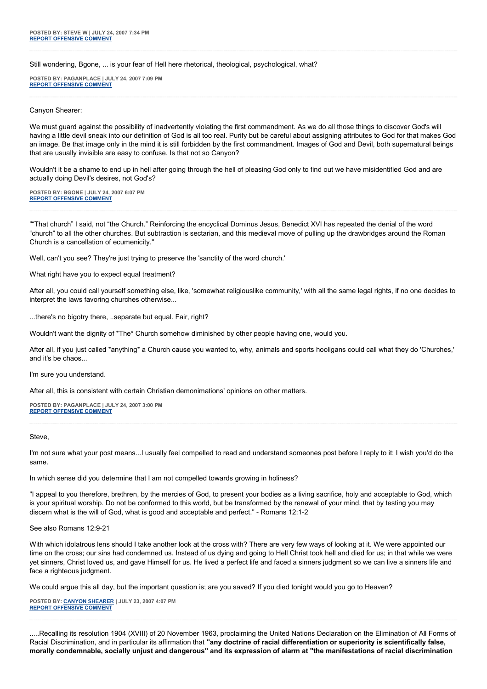Still wondering, Bgone, ... is your fear of Hell here rhetorical, theological, psychological, what?

**POSTED BY: PAGANPLACE | JULY 24, 2007 7:09 PM [REPORT OFFENSIVE COMMENT](mailto:blogs@washingtonpost.com?subject=On%20Faith%20Panelists%20Blog%20%20%7C%20%20Paganplace%20%20%7C%20%20The%20Pope%20is%20Wrong%20%20%7C%20%201191167&body=%0D%0D%0D%0D%0D================%0D?__mode=view%26_type=comment%26id=1191167%26blog_id=618)**

#### Canyon Shearer:

We must guard against the possibility of inadvertently violating the first commandment. As we do all those things to discover God's will having a little devil sneak into our definition of God is all too real. Purify but be careful about assigning attributes to God for that makes God an image. Be that image only in the mind it is still forbidden by the first commandment. Images of God and Devil, both supernatural beings that are usually invisible are easy to confuse. Is that not so Canyon?

Wouldn't it be a shame to end up in hell after going through the hell of pleasing God only to find out we have misidentified God and are actually doing Devil's desires, not God's?

**POSTED BY: BGONE | JULY 24, 2007 6:07 PM [REPORT OFFENSIVE COMMENT](mailto:blogs@washingtonpost.com?subject=On%20Faith%20Panelists%20Blog%20%20%7C%20%20BGone%20%20%7C%20%20The%20Pope%20is%20Wrong%20%20%7C%20%201191090&body=%0D%0D%0D%0D%0D================%0D?__mode=view%26_type=comment%26id=1191090%26blog_id=618)**

""That church" I said, not "the Church." Reinforcing the encyclical Dominus Jesus, Benedict XVI has repeated the denial of the word "church" to all the other churches. But subtraction is sectarian, and this medieval move of pulling up the drawbridges around the Roman Church is a cancellation of ecumenicity."

Well, can't you see? They're just trying to preserve the 'sanctity of the word church.'

What right have you to expect equal treatment?

After all, you could call yourself something else, like, 'somewhat religiouslike community,' with all the same legal rights, if no one decides to interpret the laws favoring churches otherwise...

...there's no bigotry there, ..separate but equal. Fair, right?

Wouldn't want the dignity of \*The\* Church somehow diminished by other people having one, would you.

After all, if you just called \*anything\* a Church cause you wanted to, why, animals and sports hooligans could call what they do 'Churches,' and it's be chaos...

I'm sure you understand.

After all, this is consistent with certain Christian demonimations' opinions on other matters.

**POSTED BY: PAGANPLACE | JULY 24, 2007 3:00 PM [REPORT OFFENSIVE COMMENT](mailto:blogs@washingtonpost.com?subject=On%20Faith%20Panelists%20Blog%20%20%7C%20%20Paganplace%20%20%7C%20%20The%20Pope%20is%20Wrong%20%20%7C%20%201190726&body=%0D%0D%0D%0D%0D================%0D?__mode=view%26_type=comment%26id=1190726%26blog_id=618)**

**Steve** 

I'm not sure what your post means...I usually feel compelled to read and understand someones post before I reply to it; I wish you'd do the same.

In which sense did you determine that I am not compelled towards growing in holiness?

"I appeal to you therefore, brethren, by the mercies of God, to present your bodies as a living sacrifice, holy and acceptable to God, which is your spiritual worship. Do not be conformed to this world, but be transformed by the renewal of your mind, that by testing you may discern what is the will of God, what is good and acceptable and perfect." - Romans 12:1-2

See also Romans 12:9-21

With which idolatrous lens should I take another look at the cross with? There are very few ways of looking at it. We were appointed our time on the cross; our sins had condemned us. Instead of us dying and going to Hell Christ took hell and died for us; in that while we were yet sinners, Christ loved us, and gave Himself for us. He lived a perfect life and faced a sinners judgment so we can live a sinners life and face a righteous judgment.

We could argue this all day, but the important question is; are you saved? If you died tonight would you go to Heaven?

**POSTED BY: [CANYON SHEARER](http://trustobey.blogspot.com/) | JULY 23, 2007 4:07 PM [REPORT OFFENSIVE COMMENT](mailto:blogs@washingtonpost.com?subject=On%20Faith%20Panelists%20Blog%20%20%7C%20%20Canyon%20Shearer%20%20%7C%20%20The%20Pope%20is%20Wrong%20%20%7C%20%201188287&body=%0D%0D%0D%0D%0D================%0D?__mode=view%26_type=comment%26id=1188287%26blog_id=618)**

.....Recalling its resolution 1904 (XVIII) of 20 November 1963, proclaiming the United Nations Declaration on the Elimination of All Forms of Racial Discrimination, and in particular its affirmation that **"any doctrine of racial differentiation or superiority is scientifically false, morally condemnable, socially unjust and dangerous" and its expression of alarm at "the manifestations of racial discrimination**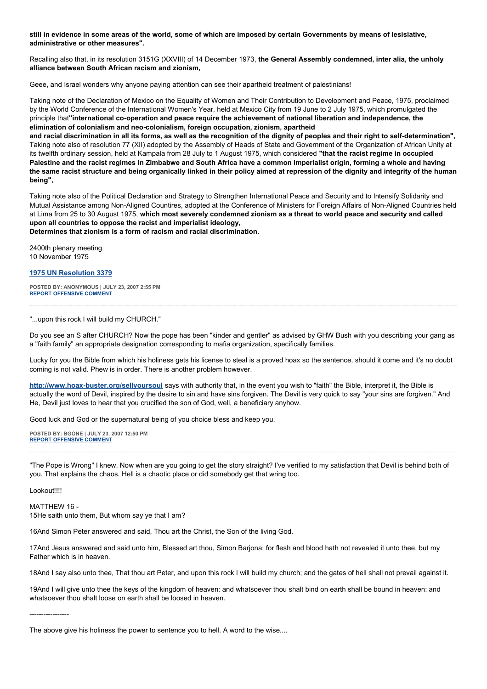**still in evidence in some areas of the world, some of which are imposed by certain Governments by means of lesislative, administrative or other measures".**

Recalling also that, in its resolution 3151G (XXVIII) of 14 December 1973, **the General Assembly condemned, inter alia, the unholy alliance between South African racism and zionism,**

Geee, and Israel wonders why anyone paying attention can see their apartheid treatment of palestinians!

Taking note of the Declaration of Mexico on the Equality of Women and Their Contribution to Development and Peace, 1975, proclaimed by the World Conference of the International Women's Year, held at Mexico City from 19 June to 2 July 1975, which promulgated the principle that**"international co-operation and peace require the achievement of national liberation and independence, the elimination of colonialism and neo-colonialism, foreign occupation, zionism, apartheid**

**and racial discrimination in all its forms, as well as the recognition of the dignity of peoples and their right to self-determination",** Taking note also of resolution 77 (XII) adopted by the Assembly of Heads of State and Government of the Organization of African Unity at its twelfth ordinary session, held at Kampala from 28 July to 1 August 1975, which considered **"that the racist regime in occupied Palestine and the racist regimes in Zimbabwe and South Africa have a common imperialist origin, forming a whole and having the same racist structure and being organically linked in their policy aimed at repression of the dignity and integrity of the human being",**

Taking note also of the Political Declaration and Strategy to Strengthen International Peace and Security and to Intensify Solidarity and Mutual Assistance among Non-Aligned Countires, adopted at the Conference of Ministers for Foreign Affairs of Non-Aligned Countries held at Lima from 25 to 30 August 1975, **which most severely condemned zionism as a threat to world peace and security and called upon all countries to oppose the racist and imperialist ideology, Determines that zionism is a form of racism and racial discrimination.**

2400th plenary meeting 10 November 1975

**[1975 UN Resolution 3379](http://daccessdds.un.org/doc/RESOLUTION/GEN/NR0/000/92/IMG/NR000092.pdf?OpenElement)**

**POSTED BY: ANONYMOUS | JULY 23, 2007 2:55 PM [REPORT OFFENSIVE COMMENT](mailto:blogs@washingtonpost.com?subject=On%20Faith%20Panelists%20Blog%20%20%7C%20%20Anonymous%20%20%7C%20%20The%20Pope%20is%20Wrong%20%20%7C%20%201188128&body=%0D%0D%0D%0D%0D================%0D?__mode=view%26_type=comment%26id=1188128%26blog_id=618)**

"...upon this rock I will build my CHURCH."

Do you see an S after CHURCH? Now the pope has been "kinder and gentler" as advised by GHW Bush with you describing your gang as a "faith family" an appropriate designation corresponding to mafia organization, specifically families.

Lucky for you the Bible from which his holiness gets his license to steal is a proved hoax so the sentence, should it come and it's no doubt coming is not valid. Phew is in order. There is another problem however.

**<http://www.hoax-buster.org/sellyoursoul>** says with authority that, in the event you wish to "faith" the Bible, interpret it, the Bible is actually the word of Devil, inspired by the desire to sin and have sins forgiven. The Devil is very quick to say "your sins are forgiven." And He, Devil just loves to hear that you crucified the son of God, well, a beneficiary anyhow.

Good luck and God or the supernatural being of you choice bless and keep you.

**POSTED BY: BGONE | JULY 23, 2007 12:50 PM [REPORT OFFENSIVE COMMENT](mailto:blogs@washingtonpost.com?subject=On%20Faith%20Panelists%20Blog%20%20%7C%20%20BGone%20%20%7C%20%20The%20Pope%20is%20Wrong%20%20%7C%20%201187789&body=%0D%0D%0D%0D%0D================%0D?__mode=view%26_type=comment%26id=1187789%26blog_id=618)**

"The Pope is Wrong" I knew. Now when are you going to get the story straight? I've verified to my satisfaction that Devil is behind both of you. That explains the chaos. Hell is a chaotic place or did somebody get that wring too.

Lookout!!!!

MATTHEW 16 - 15He saith unto them, But whom say ye that I am?

16And Simon Peter answered and said, Thou art the Christ, the Son of the living God.

17And Jesus answered and said unto him, Blessed art thou, Simon Barjona: for flesh and blood hath not revealed it unto thee, but my Father which is in heaven.

18And I say also unto thee, That thou art Peter, and upon this rock I will build my church; and the gates of hell shall not prevail against it.

19And I will give unto thee the keys of the kingdom of heaven: and whatsoever thou shalt bind on earth shall be bound in heaven: and whatsoever thou shalt loose on earth shall be loosed in heaven.

-----------------

The above give his holiness the power to sentence you to hell. A word to the wise....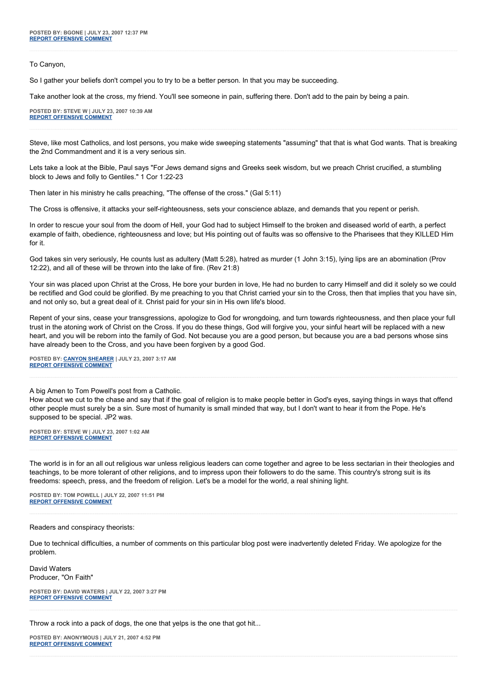To Canyon,

So I gather your beliefs don't compel you to try to be a better person. In that you may be succeeding.

Take another look at the cross, my friend. You'll see someone in pain, suffering there. Don't add to the pain by being a pain.

**POSTED BY: STEVE W | JULY 23, 2007 10:39 AM [REPORT OFFENSIVE COMMENT](mailto:blogs@washingtonpost.com?subject=On%20Faith%20Panelists%20Blog%20%20%7C%20%20Steve%20W%20%20%7C%20%20The%20Pope%20is%20Wrong%20%20%7C%20%201187522&body=%0D%0D%0D%0D%0D================%0D?__mode=view%26_type=comment%26id=1187522%26blog_id=618)**

Steve, like most Catholics, and lost persons, you make wide sweeping statements "assuming" that that is what God wants. That is breaking the 2nd Commandment and it is a very serious sin.

Lets take a look at the Bible, Paul says "For Jews demand signs and Greeks seek wisdom, but we preach Christ crucified, a stumbling block to Jews and folly to Gentiles." 1 Cor 1:22-23

Then later in his ministry he calls preaching, "The offense of the cross." (Gal 5:11)

The Cross is offensive, it attacks your self-righteousness, sets your conscience ablaze, and demands that you repent or perish.

In order to rescue your soul from the doom of Hell, your God had to subject Himself to the broken and diseased world of earth, a perfect example of faith, obedience, righteousness and love; but His pointing out of faults was so offensive to the Pharisees that they KILLED Him for it.

God takes sin very seriously, He counts lust as adultery (Matt 5:28), hatred as murder (1 John 3:15), lying lips are an abomination (Prov 12:22), and all of these will be thrown into the lake of fire. (Rev 21:8)

Your sin was placed upon Christ at the Cross, He bore your burden in love, He had no burden to carry Himself and did it solely so we could be rectified and God could be glorified. By me preaching to you that Christ carried your sin to the Cross, then that implies that you have sin, and not only so, but a great deal of it. Christ paid for your sin in His own life's blood.

Repent of your sins, cease your transgressions, apologize to God for wrongdoing, and turn towards righteousness, and then place your full trust in the atoning work of Christ on the Cross. If you do these things, God will forgive you, your sinful heart will be replaced with a new heart, and you will be reborn into the family of God. Not because you are a good person, but because you are a bad persons whose sins have already been to the Cross, and you have been forgiven by a good God.

**POSTED BY: [CANYON SHEARER](http://trustobey.blogspot.com/) | JULY 23, 2007 3:17 AM [REPORT OFFENSIVE COMMENT](mailto:blogs@washingtonpost.com?subject=On%20Faith%20Panelists%20Blog%20%20%7C%20%20Canyon%20Shearer%20%20%7C%20%20The%20Pope%20is%20Wrong%20%20%7C%20%201186847&body=%0D%0D%0D%0D%0D================%0D?__mode=view%26_type=comment%26id=1186847%26blog_id=618)**

A big Amen to Tom Powell's post from a Catholic.

How about we cut to the chase and say that if the goal of religion is to make people better in God's eyes, saying things in ways that offend other people must surely be a sin. Sure most of humanity is small minded that way, but I don't want to hear it from the Pope. He's supposed to be special. JP2 was.

**POSTED BY: STEVE W | JULY 23, 2007 1:02 AM [REPORT OFFENSIVE COMMENT](mailto:blogs@washingtonpost.com?subject=On%20Faith%20Panelists%20Blog%20%20%7C%20%20Steve%20W%20%20%7C%20%20The%20Pope%20is%20Wrong%20%20%7C%20%201186701&body=%0D%0D%0D%0D%0D================%0D?__mode=view%26_type=comment%26id=1186701%26blog_id=618)**

The world is in for an all out religious war unless religious leaders can come together and agree to be less sectarian in their theologies and teachings, to be more tolerant of other religions, and to impress upon their followers to do the same. This country's strong suit is its freedoms: speech, press, and the freedom of religion. Let's be a model for the world, a real shining light.

**POSTED BY: TOM POWELL | JULY 22, 2007 11:51 PM [REPORT OFFENSIVE COMMENT](mailto:blogs@washingtonpost.com?subject=On%20Faith%20Panelists%20Blog%20%20%7C%20%20tom%20powell%20%20%7C%20%20The%20Pope%20is%20Wrong%20%20%7C%20%201186616&body=%0D%0D%0D%0D%0D================%0D?__mode=view%26_type=comment%26id=1186616%26blog_id=618)**

Readers and conspiracy theorists:

Due to technical difficulties, a number of comments on this particular blog post were inadvertently deleted Friday. We apologize for the problem.

David Waters Producer, "On Faith"

**POSTED BY: DAVID WATERS | JULY 22, 2007 3:27 PM [REPORT OFFENSIVE COMMENT](mailto:blogs@washingtonpost.com?subject=On%20Faith%20Panelists%20Blog%20%20%7C%20%20David%20Waters%20%20%7C%20%20The%20Pope%20is%20Wrong%20%20%7C%20%201185719&body=%0D%0D%0D%0D%0D================%0D?__mode=view%26_type=comment%26id=1185719%26blog_id=618)**

Throw a rock into a pack of dogs, the one that yelps is the one that got hit...